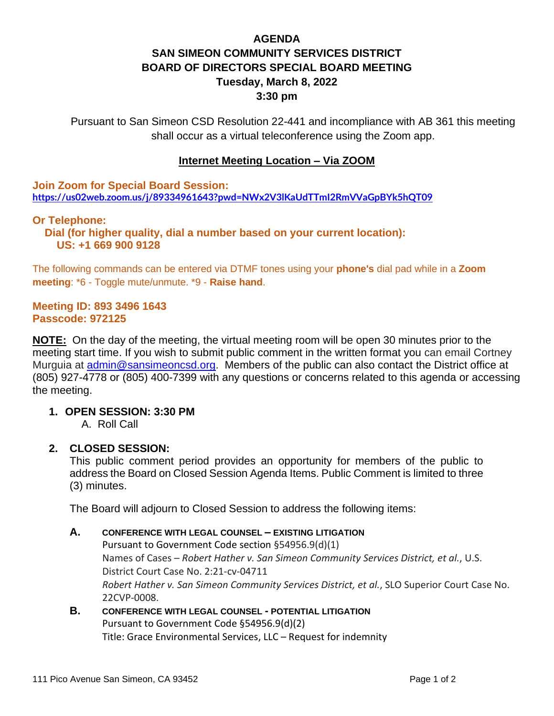# **AGENDA SAN SIMEON COMMUNITY SERVICES DISTRICT BOARD OF DIRECTORS SPECIAL BOARD MEETING Tuesday, March 8, 2022 3:30 pm**

Pursuant to San Simeon CSD Resolution 22-441 and incompliance with AB 361 this meeting shall occur as a virtual teleconference using the Zoom app.

### **Internet Meeting Location – Via ZOOM**

**Join Zoom for Special Board Session: <https://us02web.zoom.us/j/89334961643?pwd=NWx2V3lKaUdTTmI2RmVVaGpBYk5hQT09>**

### **Or Telephone:**

 **Dial (for higher quality, dial a number based on your current location): US: +1 669 900 9128** 

The following commands can be entered via DTMF tones using your **phone's** dial pad while in a **Zoom meeting**: \*6 - Toggle mute/unmute. \*9 - **Raise hand**.

#### **Meeting ID: 893 3496 1643 Passcode: 972125**

**NOTE:** On the day of the meeting, the virtual meeting room will be open 30 minutes prior to the meeting start time. If you wish to submit public comment in the written format you can email Cortney Murguia at [admin@sansimeoncsd.org.](mailto:admin@sansimeoncsd.org) Members of the public can also contact the District office at (805) 927-4778 or (805) 400-7399 with any questions or concerns related to this agenda or accessing the meeting.

### **1. OPEN SESSION: 3:30 PM**

A. Roll Call

### **2. CLOSED SESSION:**

This public comment period provides an opportunity for members of the public to address the Board on Closed Session Agenda Items. Public Comment is limited to three (3) minutes.

The Board will adjourn to Closed Session to address the following items:

#### **A. CONFERENCE WITH LEGAL COUNSEL – EXISTING LITIGATION**

Pursuant to Government Code section §54956.9(d)(1) Names of Cases – *Robert Hather v. San Simeon Community Services District, et al.*, U.S. District Court Case No. 2:21-cv-04711 *Robert Hather v. San Simeon Community Services District, et al.*, SLO Superior Court Case No. 22CVP-0008.

### **B. CONFERENCE WITH LEGAL COUNSEL - POTENTIAL LITIGATION** Pursuant to Government Code §54956.9(d)(2) Title: Grace Environmental Services, LLC – Request for indemnity